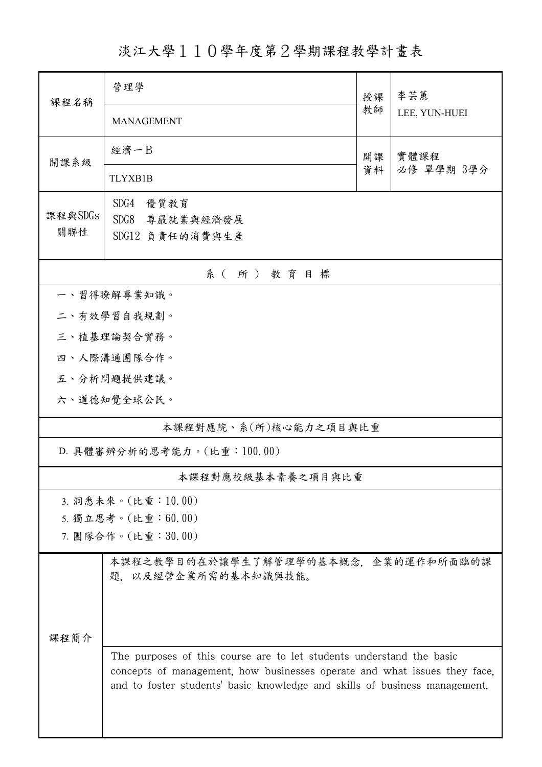淡江大學110學年度第2學期課程教學計畫表

| 課程名稱                       | 管理學                                                                                                                                                                                                                             |          | 李芸蕙           |  |  |  |  |
|----------------------------|---------------------------------------------------------------------------------------------------------------------------------------------------------------------------------------------------------------------------------|----------|---------------|--|--|--|--|
|                            | <b>MANAGEMENT</b>                                                                                                                                                                                                               | 教師       | LEE, YUN-HUEI |  |  |  |  |
| 開課系級                       | 經濟一B                                                                                                                                                                                                                            | 開課<br>資料 | 實體課程          |  |  |  |  |
|                            | <b>TLYXB1B</b>                                                                                                                                                                                                                  |          | 必修 單學期 3學分    |  |  |  |  |
|                            | SDG4<br>優質教育                                                                                                                                                                                                                    |          |               |  |  |  |  |
| 課程與SDGs<br>關聯性             | SDG8 尊嚴就業與經濟發展                                                                                                                                                                                                                  |          |               |  |  |  |  |
|                            | SDG12 負責任的消費與生產                                                                                                                                                                                                                 |          |               |  |  |  |  |
| 系(所)教育目標                   |                                                                                                                                                                                                                                 |          |               |  |  |  |  |
| 一、習得瞭解專業知識。                |                                                                                                                                                                                                                                 |          |               |  |  |  |  |
|                            | 二、有效學習自我規劃。                                                                                                                                                                                                                     |          |               |  |  |  |  |
|                            | 三、植基理論契合實務。                                                                                                                                                                                                                     |          |               |  |  |  |  |
|                            | 四、人際溝通團隊合作。                                                                                                                                                                                                                     |          |               |  |  |  |  |
|                            | 五、分析問題提供建議。                                                                                                                                                                                                                     |          |               |  |  |  |  |
|                            | 六、道德知覺全球公民。                                                                                                                                                                                                                     |          |               |  |  |  |  |
| 本課程對應院、系(所)核心能力之項目與比重      |                                                                                                                                                                                                                                 |          |               |  |  |  |  |
| D. 具體審辨分析的思考能力。(比重:100.00) |                                                                                                                                                                                                                                 |          |               |  |  |  |  |
|                            | 本課程對應校級基本素養之項目與比重                                                                                                                                                                                                               |          |               |  |  |  |  |
|                            | 3. 洞悉未來。(比重:10.00)                                                                                                                                                                                                              |          |               |  |  |  |  |
|                            | 5. 獨立思考。(比重:60.00)                                                                                                                                                                                                              |          |               |  |  |  |  |
|                            | 7. 團隊合作。(比重:30.00)                                                                                                                                                                                                              |          |               |  |  |  |  |
|                            | 本課程之教學目的在於讓學生了解管理學的基本概念,企業的運作和所面臨的課<br>題. 以及經營企業所需的基本知識與技能。                                                                                                                                                                     |          |               |  |  |  |  |
| 課程簡介                       |                                                                                                                                                                                                                                 |          |               |  |  |  |  |
|                            |                                                                                                                                                                                                                                 |          |               |  |  |  |  |
|                            |                                                                                                                                                                                                                                 |          |               |  |  |  |  |
|                            | The purposes of this course are to let students understand the basic<br>concepts of management, how businesses operate and what issues they face,<br>and to foster students' basic knowledge and skills of business management. |          |               |  |  |  |  |
|                            |                                                                                                                                                                                                                                 |          |               |  |  |  |  |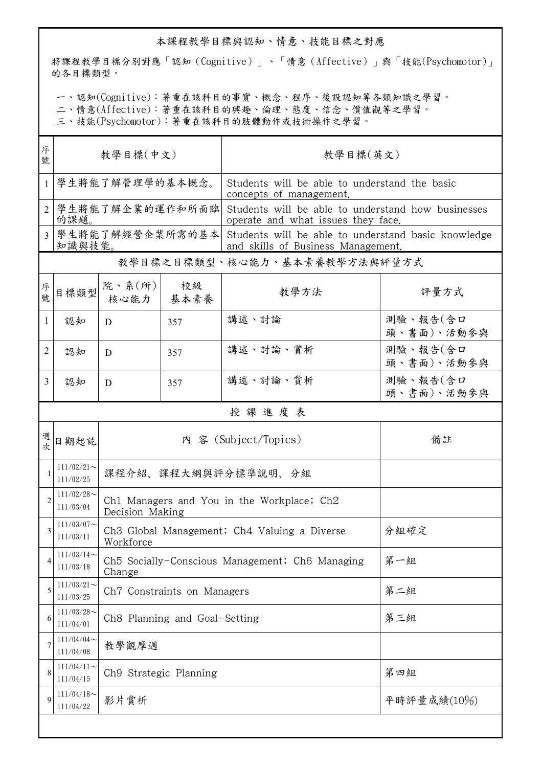## 本課程教學目標與認知、情意、技能目標之對應

將課程教學目標分別對應「認知(Cognitive)」、「情意(Affective)」與「技能(Psychomotor)」 的各目標類型。

一、認知(Cognitive):著重在該科目的事實、概念、程序、後設認知等各類知識之學習。

二、情意(Affective):著重在該科目的興趣、倫理、態度、信念、價值觀等之學習。

三、技能(Psychomotor):著重在該科目的肢體動作或技術操作之學習。

| 序<br>號         | 教學目標(中文)                     |                                                               |                                                 | 教學目標(英文)                                                                                  |                        |  |  |  |
|----------------|------------------------------|---------------------------------------------------------------|-------------------------------------------------|-------------------------------------------------------------------------------------------|------------------------|--|--|--|
| $\mathbf{1}$   | 學生將能了解管理學的基本概念。              |                                                               |                                                 | Students will be able to understand the basic<br>concepts of management.                  |                        |  |  |  |
| $\mathfrak{D}$ | 學生將能了解企業的運作和所面臨<br>的課題。      |                                                               |                                                 | Students will be able to understand how businesses<br>operate and what issues they face.  |                        |  |  |  |
| 3              | 學生將能了解經營企業所需的基本<br>知識與技能。    |                                                               |                                                 | Students will be able to understand basic knowledge<br>and skills of Business Management. |                        |  |  |  |
|                | 教學目標之目標類型、核心能力、基本素養教學方法與評量方式 |                                                               |                                                 |                                                                                           |                        |  |  |  |
| 序<br>號         | 目標類型                         | 院、系 $(\text{m})$<br>核心能力                                      | 校級<br>基本素養                                      | 教學方法                                                                                      | 評量方式                   |  |  |  |
| 1              | 認知                           | D                                                             | 357                                             | 講述、討論                                                                                     | 測驗、報告(含口<br>頭、書面)、活動參與 |  |  |  |
| $\overline{2}$ | 認知                           | D                                                             | 357                                             | 講述、討論、賞析                                                                                  | 測驗、報告(含口<br>頭、書面)、活動參與 |  |  |  |
| 3              | 認知                           | D                                                             | 357                                             | 講述、討論、賞析                                                                                  | 測驗、報告(含口<br>頭、書面)、活動參與 |  |  |  |
|                | 授課進度表                        |                                                               |                                                 |                                                                                           |                        |  |  |  |
| 週<br>次         | 日期起訖                         | 內 容 (Subject/Topics)                                          |                                                 |                                                                                           | 備註                     |  |  |  |
|                | $111/02/21$ ~<br>111/02/25   | 課程介紹、課程大綱與評分標準說明、分組                                           |                                                 |                                                                                           |                        |  |  |  |
| $\overline{2}$ | $111/02/28$ ~<br>111/03/04   | Ch1 Managers and You in the Workplace; Ch2<br>Decision Making |                                                 |                                                                                           |                        |  |  |  |
| 3              | $111/03/07$ ~<br>111/03/11   | Ch3 Global Management; Ch4 Valuing a Diverse<br>Workforce     |                                                 |                                                                                           | 分組確定                   |  |  |  |
| 4              | $111/03/14$ ~<br>111/03/18   | Change                                                        | Ch5 Socially-Conscious Management; Ch6 Managing | 第一組                                                                                       |                        |  |  |  |
| 5              | $111/03/21$ ~<br>111/03/25   |                                                               | Ch7 Constraints on Managers                     | 第二組                                                                                       |                        |  |  |  |
| 6              | $111/03/28$ ~<br>111/04/01   | Ch8 Planning and Goal-Setting                                 |                                                 |                                                                                           | 第三組                    |  |  |  |
| 7              | $111/04/04$ ~<br>111/04/08   | 教學觀摩週                                                         |                                                 |                                                                                           |                        |  |  |  |
| 8              | $111/04/11$ ~<br>111/04/15   | Ch9 Strategic Planning                                        |                                                 |                                                                                           | 第四組                    |  |  |  |
| 9              | $111/04/18$ ~<br>111/04/22   | 影片賞析                                                          |                                                 |                                                                                           | 平時評量成績(10%)            |  |  |  |
|                |                              |                                                               |                                                 |                                                                                           |                        |  |  |  |